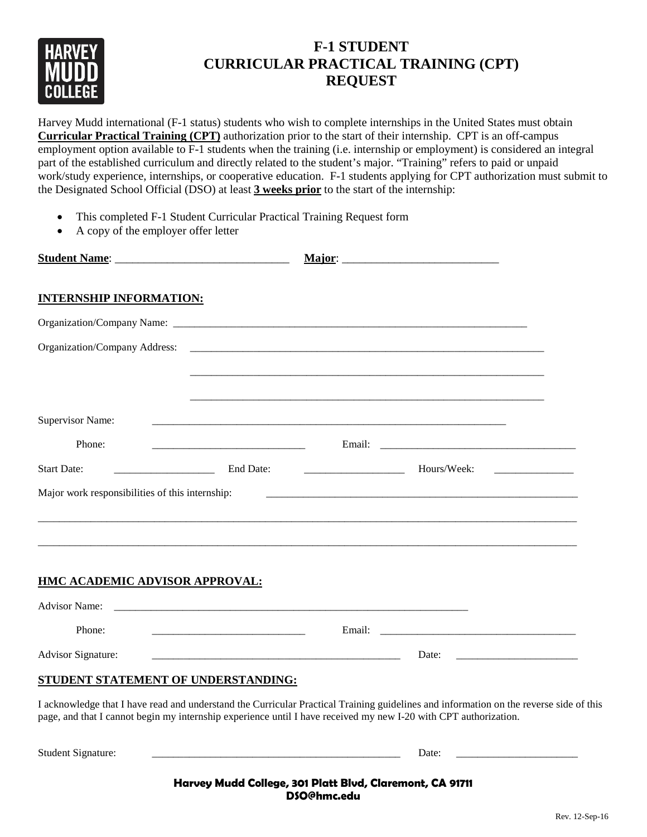

# **F-1 STUDENT CURRICULAR PRACTICAL TRAINING (CPT) REQUEST**

Harvey Mudd international (F-1 status) students who wish to complete internships in the United States must obtain **Curricular Practical Training (CPT)** authorization prior to the start of their internship. CPT is an off-campus employment option available to F-1 students when the training (i.e. internship or employment) is considered an integral part of the established curriculum and directly related to the student's major. "Training" refers to paid or unpaid work/study experience, internships, or cooperative education. F-1 students applying for CPT authorization must submit to the Designated School Official (DSO) at least **3 weeks prior** to the start of the internship:

- This completed F-1 Student Curricular Practical Training Request form
- A copy of the employer offer letter

|                                                                                                                                                                                                                                                            |                                                                                                                      | Major: $\overline{\phantom{a}}$ |                                                                                                                                                                                                                                |  |
|------------------------------------------------------------------------------------------------------------------------------------------------------------------------------------------------------------------------------------------------------------|----------------------------------------------------------------------------------------------------------------------|---------------------------------|--------------------------------------------------------------------------------------------------------------------------------------------------------------------------------------------------------------------------------|--|
| <b>INTERNSHIP INFORMATION:</b>                                                                                                                                                                                                                             |                                                                                                                      |                                 |                                                                                                                                                                                                                                |  |
|                                                                                                                                                                                                                                                            |                                                                                                                      |                                 |                                                                                                                                                                                                                                |  |
| Organization/Company Address:                                                                                                                                                                                                                              |                                                                                                                      |                                 |                                                                                                                                                                                                                                |  |
|                                                                                                                                                                                                                                                            |                                                                                                                      |                                 |                                                                                                                                                                                                                                |  |
|                                                                                                                                                                                                                                                            |                                                                                                                      |                                 |                                                                                                                                                                                                                                |  |
| <b>Supervisor Name:</b>                                                                                                                                                                                                                                    |                                                                                                                      |                                 |                                                                                                                                                                                                                                |  |
| Phone:                                                                                                                                                                                                                                                     |                                                                                                                      |                                 |                                                                                                                                                                                                                                |  |
| <b>Start Date:</b><br><u> 1980 - Jan Barbara III, martx</u>                                                                                                                                                                                                |                                                                                                                      | End Date: $\qquad \qquad$       | Hours/Week:                                                                                                                                                                                                                    |  |
| Major work responsibilities of this internship:                                                                                                                                                                                                            |                                                                                                                      |                                 |                                                                                                                                                                                                                                |  |
|                                                                                                                                                                                                                                                            |                                                                                                                      |                                 |                                                                                                                                                                                                                                |  |
|                                                                                                                                                                                                                                                            |                                                                                                                      |                                 |                                                                                                                                                                                                                                |  |
|                                                                                                                                                                                                                                                            |                                                                                                                      |                                 |                                                                                                                                                                                                                                |  |
| HMC ACADEMIC ADVISOR APPROVAL:                                                                                                                                                                                                                             |                                                                                                                      |                                 |                                                                                                                                                                                                                                |  |
|                                                                                                                                                                                                                                                            |                                                                                                                      |                                 |                                                                                                                                                                                                                                |  |
| Phone:                                                                                                                                                                                                                                                     | <u> 2008 - Antonio Alemania, prima prima prima prima prima prima prima prima prima prima prima prima prima prima</u> | Email:                          |                                                                                                                                                                                                                                |  |
| Advisor Signature:                                                                                                                                                                                                                                         |                                                                                                                      |                                 | Date: the contract of the contract of the contract of the contract of the contract of the contract of the contract of the contract of the contract of the contract of the contract of the contract of the contract of the cont |  |
| STUDENT STATEMENT OF UNDERSTANDING:                                                                                                                                                                                                                        |                                                                                                                      |                                 |                                                                                                                                                                                                                                |  |
| I acknowledge that I have read and understand the Curricular Practical Training guidelines and information on the reverse side of this<br>page, and that I cannot begin my internship experience until I have received my new I-20 with CPT authorization. |                                                                                                                      |                                 |                                                                                                                                                                                                                                |  |
| Student Signature:                                                                                                                                                                                                                                         |                                                                                                                      |                                 | Date:                                                                                                                                                                                                                          |  |

**Harvey Mudd College, 301 Platt Blvd, Claremont, CA 91711 DSO@hmc.edu**